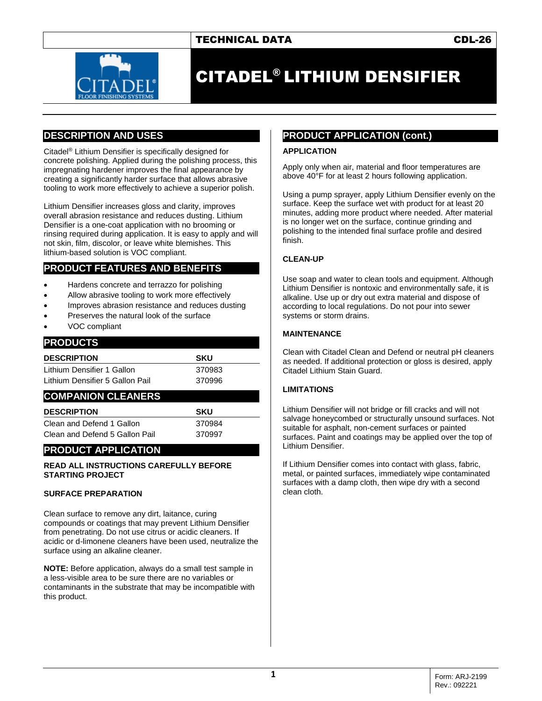# TECHNICAL DATA CDL-26



# CITADEL® LITHIUM DENSIFIER

# **DESCRIPTION AND USES**

Citadel® Lithium Densifier is specifically designed for concrete polishing. Applied during the polishing process, this impregnating hardener improves the final appearance by creating a significantly harder surface that allows abrasive tooling to work more effectively to achieve a superior polish.

Lithium Densifier increases gloss and clarity, improves overall abrasion resistance and reduces dusting. Lithium Densifier is a one-coat application with no brooming or rinsing required during application. It is easy to apply and will not skin, film, discolor, or leave white blemishes. This lithium-based solution is VOC compliant.

## **PRODUCT FEATURES AND BENEFITS**

- Hardens concrete and terrazzo for polishing
- Allow abrasive tooling to work more effectively
- Improves abrasion resistance and reduces dusting
- Preserves the natural look of the surface
- VOC compliant

### **PRODUCTS**

| <b>DESCRIPTION</b>              | <b>SKU</b> |
|---------------------------------|------------|
| Lithium Densifier 1 Gallon      | 370983     |
| Lithium Densifier 5 Gallon Pail | 370996     |

#### **COMPANION CLEANERS**

| <b>DESCRIPTION</b>             | <b>SKU</b> |
|--------------------------------|------------|
| Clean and Defend 1 Gallon      | 370984     |
| Clean and Defend 5 Gallon Pail | 370997     |

## **PRODUCT APPLICATION**

**READ ALL INSTRUCTIONS CAREFULLY BEFORE STARTING PROJECT**

#### **SURFACE PREPARATION**

Clean surface to remove any dirt, laitance, curing compounds or coatings that may prevent Lithium Densifier from penetrating. Do not use citrus or acidic cleaners. If acidic or d-limonene cleaners have been used, neutralize the surface using an alkaline cleaner.

**NOTE:** Before application, always do a small test sample in a less-visible area to be sure there are no variables or contaminants in the substrate that may be incompatible with this product.

## **PRODUCT APPLICATION (cont.)**

#### **APPLICATION**

Apply only when air, material and floor temperatures are above 40°F for at least 2 hours following application.

Using a pump sprayer, apply Lithium Densifier evenly on the surface. Keep the surface wet with product for at least 20 minutes, adding more product where needed. After material is no longer wet on the surface, continue grinding and polishing to the intended final surface profile and desired finish.

#### **CLEAN-UP**

Use soap and water to clean tools and equipment. Although Lithium Densifier is nontoxic and environmentally safe, it is alkaline. Use up or dry out extra material and dispose of according to local regulations. Do not pour into sewer systems or storm drains.

#### **MAINTENANCE**

Clean with Citadel Clean and Defend or neutral pH cleaners as needed. If additional protection or gloss is desired, apply Citadel Lithium Stain Guard.

### **LIMITATIONS**

Lithium Densifier will not bridge or fill cracks and will not salvage honeycombed or structurally unsound surfaces. Not suitable for asphalt, non-cement surfaces or painted surfaces. Paint and coatings may be applied over the top of Lithium Densifier.

If Lithium Densifier comes into contact with glass, fabric, metal, or painted surfaces, immediately wipe contaminated surfaces with a damp cloth, then wipe dry with a second clean cloth.